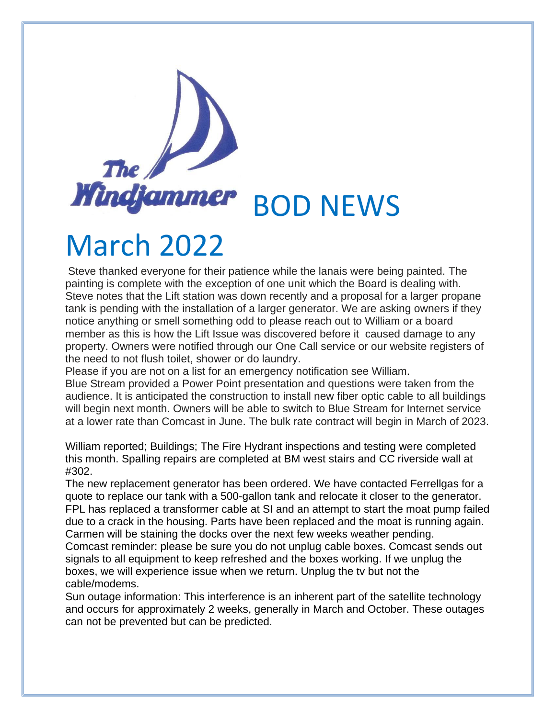## The  $/$ **Windfammer** BOD NEWS

## March 2022

Steve thanked everyone for their patience while the lanais were being painted. The painting is complete with the exception of one unit which the Board is dealing with. Steve notes that the Lift station was down recently and a proposal for a larger propane tank is pending with the installation of a larger generator. We are asking owners if they notice anything or smell something odd to please reach out to William or a board member as this is how the Lift Issue was discovered before it caused damage to any property. Owners were notified through our One Call service or our website registers of the need to not flush toilet, shower or do laundry.

Please if you are not on a list for an emergency notification see William. Blue Stream provided a Power Point presentation and questions were taken from the audience. It is anticipated the construction to install new fiber optic cable to all buildings will begin next month. Owners will be able to switch to Blue Stream for Internet service at a lower rate than Comcast in June. The bulk rate contract will begin in March of 2023.

William reported; Buildings; The Fire Hydrant inspections and testing were completed this month. Spalling repairs are completed at BM west stairs and CC riverside wall at #302.

The new replacement generator has been ordered. We have contacted Ferrellgas for a quote to replace our tank with a 500-gallon tank and relocate it closer to the generator. FPL has replaced a transformer cable at SI and an attempt to start the moat pump failed due to a crack in the housing. Parts have been replaced and the moat is running again. Carmen will be staining the docks over the next few weeks weather pending. Comcast reminder: please be sure you do not unplug cable boxes. Comcast sends out

signals to all equipment to keep refreshed and the boxes working. If we unplug the boxes, we will experience issue when we return. Unplug the tv but not the cable/modems.

Sun outage information: This interference is an inherent part of the satellite technology and occurs for approximately 2 weeks, generally in March and October. These outages can not be prevented but can be predicted.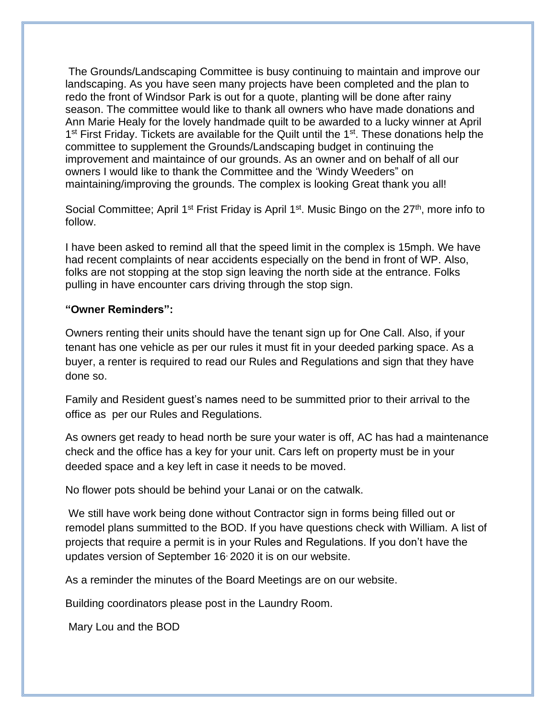The Grounds/Landscaping Committee is busy continuing to maintain and improve our landscaping. As you have seen many projects have been completed and the plan to redo the front of Windsor Park is out for a quote, planting will be done after rainy season. The committee would like to thank all owners who have made donations and Ann Marie Healy for the lovely handmade quilt to be awarded to a lucky winner at April 1<sup>st</sup> First Friday. Tickets are available for the Quilt until the 1<sup>st</sup>. These donations help the committee to supplement the Grounds/Landscaping budget in continuing the improvement and maintaince of our grounds. As an owner and on behalf of all our owners I would like to thank the Committee and the 'Windy Weeders" on maintaining/improving the grounds. The complex is looking Great thank you all!

Social Committee; April 1<sup>st</sup> Frist Friday is April 1<sup>st</sup>. Music Bingo on the 27<sup>th</sup>, more info to follow.

I have been asked to remind all that the speed limit in the complex is 15mph. We have had recent complaints of near accidents especially on the bend in front of WP. Also, folks are not stopping at the stop sign leaving the north side at the entrance. Folks pulling in have encounter cars driving through the stop sign.

## **"Owner Reminders":**

Owners renting their units should have the tenant sign up for One Call. Also, if your tenant has one vehicle as per our rules it must fit in your deeded parking space. As a buyer, a renter is required to read our Rules and Regulations and sign that they have done so.

Family and Resident guest's names need to be summitted prior to their arrival to the office as per our Rules and Regulations.

As owners get ready to head north be sure your water is off, AC has had a maintenance check and the office has a key for your unit. Cars left on property must be in your deeded space and a key left in case it needs to be moved.

No flower pots should be behind your Lanai or on the catwalk.

We still have work being done without Contractor sign in forms being filled out or remodel plans summitted to the BOD. If you have questions check with William. A list of projects that require a permit is in your Rules and Regulations. If you don't have the updates version of September 16, 2020 it is on our website.

As a reminder the minutes of the Board Meetings are on our website.

Building coordinators please post in the Laundry Room.

Mary Lou and the BOD